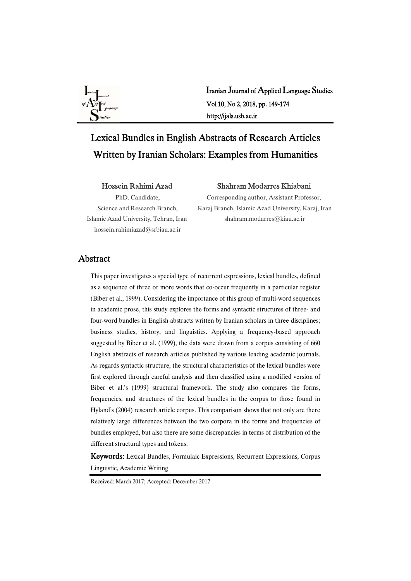

Iranian Journal of Applied Language Studies Vol10,No2,2018,pp.149-174 http://ijals.usb.ac.ir

# Lexical Bundles in English Abstracts of Research Articles Written by Iranian Scholars: Examples from Humanities

## Hossein Rahimi Azad

PhD.Candidate, Science and Research Branch, Islamic Azad University, Tehran, Iran hossein.rahimiazad@srbiau.ac.ir

#### Shahram Modarres Khiabani

Corresponding author, Assistant Professor, Karaj Branch, Islamic Azad University, Karaj, Iran shahram.modarres@kiau.ac.ir

## Abstract

This paper investigates a special type of recurrent expressions, lexical bundles, defined as a sequence of three or more words that co-occur frequently in a particular register (Biber et al., 1999). Considering the importance of this group of multi-word sequences in academic prose, this study explores the forms and syntactic structures of three- and four-word bundles in English abstracts written by Iranian scholars in three disciplines; business studies, history, and linguistics. Applying a frequency-based approach suggested by Biber et al. (1999), the data were drawn from a corpus consisting of 660 English abstracts of research articles published by various leading academic journals. As regards syntactic structure, the structural characteristics of the lexical bundles were first explored through careful analysis and then classified using a modified version of Biber et al.'s (1999) structural framework. The study also compares the forms, frequencies, and structures of the lexical bundles in the corpus to those found in Hyland's (2004) research article corpus. This comparison shows that not only are there relatively large differences between the two corpora in the forms and frequencies of bundles employed, but also there are some discrepancies in terms of distribution of the different structural types and tokens.

Keywords: Lexical Bundles, Formulaic Expressions, Recurrent Expressions, Corpus Linguistic,AcademicWriting

Received: March 2017; Accepted: December 2017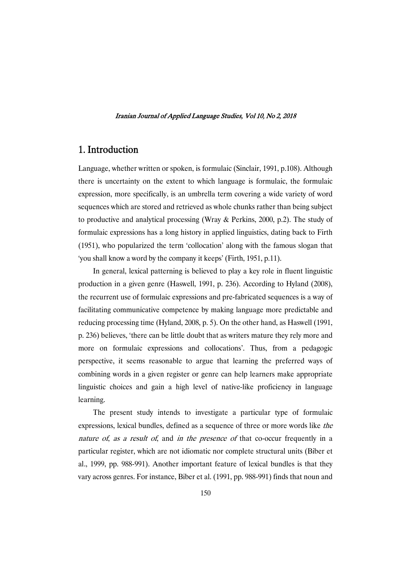## 1.Introduction

Language, whether written or spoken, is formulaic (Sinclair, 1991, p.108). Although there is uncertainty on the extent to which language is formulaic, the formulaic expression, more specifically, is an umbrella term covering a wide variety of word sequences which are stored and retrieved as whole chunks rather than being subject to productive and analytical processing (Wray & Perkins, 2000, p.2). The study of formulaic expressions has a long history in applied linguistics, dating back to Firth (1951), who popularized the term 'collocation' along with the famous slogan that 'you shall know a word by the company it keeps' (Firth, 1951, p.11).

In general, lexical patterning is believed to play a key role in fluent linguistic production in a given genre (Haswell, 1991, p. 236). According to Hyland (2008), the recurrent use of formulaic expressions and pre-fabricated sequences is a way of facilitating communicative competence by making language more predictable and reducing processing time (Hyland, 2008, p. 5). On the other hand, as Haswell (1991, p. 236) believes, 'there can be little doubt that as writers mature they rely more and more on formulaic expressions and collocations'. Thus, from a pedagogic perspective, it seems reasonable to argue that learning the preferred ways of combining words in a given register or genre can help learners make appropriate linguistic choices and gain a high level of native-like proficiency in language learning.

The present study intends to investigate a particular type of formulaic expressions, lexical bundles, defined as a sequence of three or more words like the nature of, as a result of, and in the presence of that co-occur frequently in a particular register, which are not idiomatic nor complete structural units (Biber et al., 1999, pp. 988-991). Another important feature of lexical bundles is that they vary across genres. For instance, Biber et al. (1991, pp. 988-991) finds that noun and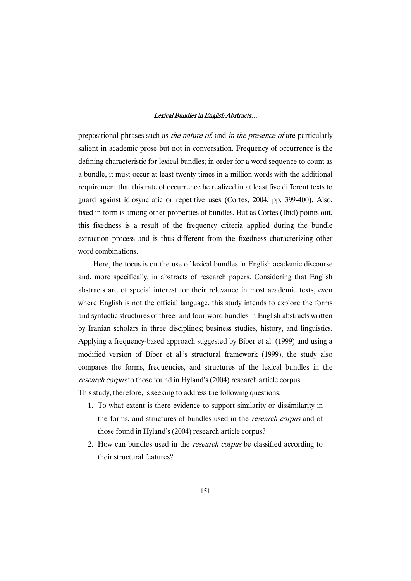prepositional phrases such as the nature of, and in the presence of are particularly salient in academic prose but not in conversation. Frequency of occurrence is the defining characteristic for lexical bundles; in order for a word sequence to count as a bundle, it must occur at least twenty times in a million words with the additional requirement that this rate of occurrence be realized in at least five different texts to guard against idiosyncratic or repetitive uses (Cortes, 2004, pp. 399-400). Also, fixed in form is among other properties of bundles. But as Cortes (Ibid) points out, this fixedness is a result of the frequency criteria applied during the bundle extraction process and is thus different from the fixedness characterizing other word combinations.

Here, the focus is on the use of lexical bundles in English academic discourse and, more specifically, in abstracts of research papers. Considering that English abstracts are of special interest for their relevance in most academic texts, even where English is not the official language, this study intends to explore the forms and syntactic structures of three- and four-word bundles in English abstracts written by Iranian scholars in three disciplines; business studies, history, and linguistics. Applying a frequency-based approach suggested by Biber et al. (1999) and using a modified version of Biber et al.'s structural framework (1999), the study also compares the forms, frequencies, and structures of the lexical bundles in the research corpus to those found in Hyland's (2004) research article corpus.

This study, therefore, is seeking to address the following questions:

- 1. To what extent is there evidence to support similarity or dissimilarity in the forms, and structures of bundles used in the *research corpus* and of those found in Hyland's (2004) research article corpus?
- 2. How can bundles used in the *research corpus* be classified according to their structural features?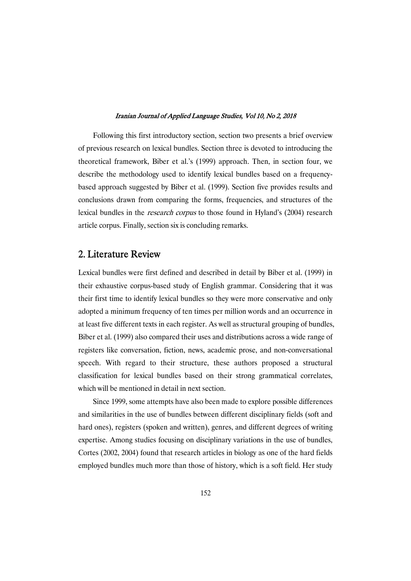Following this first introductory section, section two presents a brief overview of previous research on lexical bundles. Section three is devoted to introducing the theoretical framework, Biber et al.'s (1999) approach. Then, in section four, we describe the methodology used to identify lexical bundles based on a frequencybased approach suggested by Biber et al. (1999). Section five provides results and conclusions drawn from comparing the forms, frequencies, and structures of the lexical bundles in the *research corpus* to those found in Hyland's (2004) research article corpus. Finally, section six is concluding remarks.

## 2. Literature Review

Lexical bundles were first defined and described in detail by Biber et al. (1999) in their exhaustive corpus-based study of English grammar. Considering that it was their first time to identify lexical bundles so they were more conservative and only adopted a minimum frequency of ten times per million words and an occurrence in at least five different texts in each register. As well as structural grouping of bundles, Biber et al. (1999) also compared their uses and distributions across a wide range of registers like conversation, fiction, news, academic prose, and non-conversational speech. With regard to their structure, these authors proposed a structural classification for lexical bundles based on their strong grammatical correlates, which will be mentioned in detail in next section.

Since 1999, some attempts have also been made to explore possible differences and similarities in the use of bundles between different disciplinary fields (soft and hard ones), registers (spoken and written), genres, and different degrees of writing expertise. Among studies focusing on disciplinary variations in the use of bundles, Cortes (2002, 2004) found that research articles in biology as one of the hard fields employed bundles much more than those of history, which is a soft field. Her study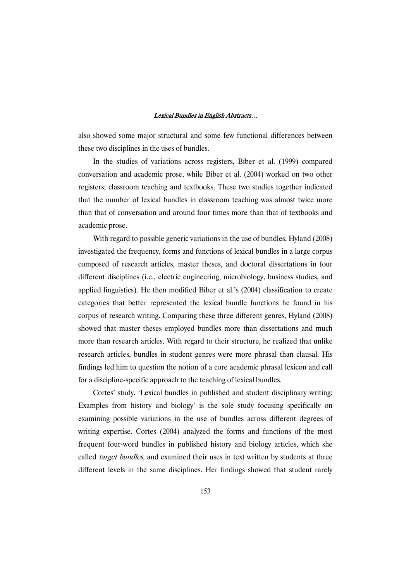also showed some major structural and some few functional differences between these two disciplines in the uses of bundles.

In the studies of variations across registers, Biber et al. (1999) compared conversation and academic prose, while Biber et al. (2004) worked on two other registers; classroom teaching and textbooks. These two studies together indicated that the number of lexical bundles in classroom teaching was almost twice more than that of conversation and around four times more than that of textbooks and academic prose.

With regard to possible generic variations in the use of bundles, Hyland (2008) investigated the frequency, forms and functions of lexical bundles in a large corpus composed of research articles, master theses, and doctoral dissertations in four different disciplines (i.e., electric engineering,microbiology, business studies, and applied linguistics). He then modified Biber et al.'s  $(2004)$  classification to create categories that better represented the lexical bundle functions he found in his corpus of research writing. Comparing these three different genres, Hyland (2008) showed that master theses employed bundles more than dissertations and much more than research articles. With regard to their structure, he realized that unlike research articles, bundles in student genres were more phrasal than clausal. His findings led him to question the notion of a core academic phrasal lexicon and call for a discipline-specific approach to the teaching of lexical bundles.

Cortes' study, 'Lexical bundles in published and student disciplinary writing: Examples from history and biology' is the sole study focusing specifically on examining possible variations in the use of bundles across different degrees of writing expertise. Cortes (2004) analyzed the forms and functions of the most frequent four-word bundles in published history and biology articles, which she called *target bundles*, and examined their uses in text written by students at three different levels in the same disciplines. Her findings showed that student rarely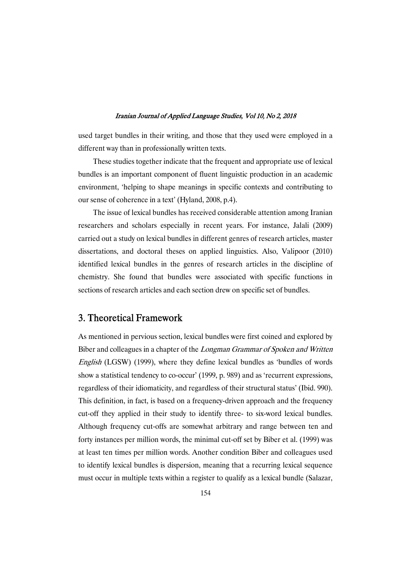used target bundles in their writing, and those that they used were employed in a different way than in professionally written texts.

These studies together indicate that the frequent and appropriate use of lexical bundles is an important component of fluent linguistic production in an academic environment, 'helping to shape meanings in specific contexts and contributing to our sense of coherence in a text' (Hyland, 2008, p.4).

The issue of lexical bundles has received considerable attention among Iranian researchers and scholars especially in recent years. For instance, Jalali (2009) carried out a study on lexical bundles in different genres of research articles, master dissertations, and doctoral theses on applied linguistics. Also, Valipoor (2010) identified lexical bundles in the genres of research articles in the discipline of chemistry. She found that bundles were associated with specific functions in sections of research articles and each section drew on specific set of bundles.

## 3. Theoretical Framework

As mentioned in pervious section, lexical bundles were first coined and explored by Biber and colleagues in a chapter of the *Longman Grammar of Spoken and Written* English (LGSW) (1999), where they define lexical bundles as 'bundles of words show a statistical tendency to co-occur' (1999, p. 989) and as 'recurrent expressions, regardless of their idiomaticity, and regardless of their structural status' (Ibid. 990). This definition, in fact, is based on a frequency-driven approach and the frequency cut-off they applied in their study to identify three- to six-word lexical bundles. Although frequency cut-offs are somewhat arbitrary and range between ten and forty instances per million words, the minimal cut-off set by Biber et al. (1999) was at least ten times per million words. Another condition Biber and colleagues used to identify lexical bundles is dispersion, meaning that a recurring lexical sequence must occur in multiple texts within a register to qualify as a lexical bundle (Salazar,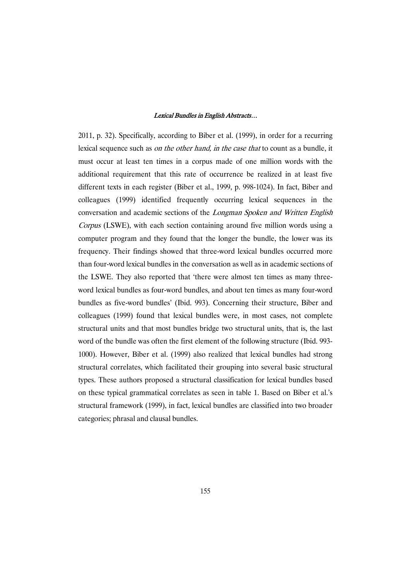2011, p. 32). Specifically, according to Biber et al. (1999), in order for a recurring lexical sequence such as *on the other hand, in the case that* to count as a bundle, it must occur at least ten times in a corpus made of one million words with the additional requirement that this rate of occurrence be realized in at least five different texts in each register (Biber et al., 1999, p. 998-1024). In fact, Biber and colleagues (1999) identified frequently occurring lexical sequences in the conversation and academic sections of the Longman Spoken and Written English Corpus (LSWE), with each section containing around five million words using a computer program and they found that the longer the bundle, the lower was its frequency. Their findings showed that three-word lexical bundles occurred more than four-word lexical bundles in the conversation as well as in academic sections of the LSWE. They also reported that 'there were almost ten times as many threeword lexical bundles as four-word bundles, and about ten times as many four-word bundles as five-word bundles' (Ibid. 993). Concerning their structure, Biber and colleagues (1999) found that lexical bundles were, in most cases, not complete structural units and that most bundles bridge two structural units, that is, the last word of the bundle was often the first element of the following structure (Ibid. 993-1000). However, Biber et al. (1999) also realized that lexical bundles had strong structural correlates, which facilitated their grouping into several basic structural types. These authors proposed a structural classification for lexical bundles based on these typical grammatical correlates as seen in table 1. Based on Biber et al.'s structural framework (1999), in fact, lexical bundles are classified into two broader categories; phrasal and clausal bundles.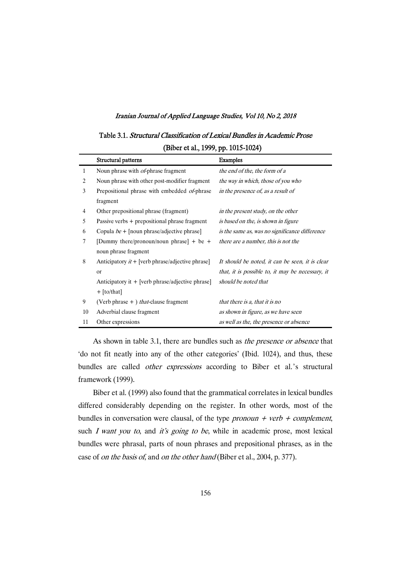## Table 3.1. Structural Classification of Lexical Bundles in Academic Prose (Biber et al., 1999, pp. 1015-1024)

|              | Structural patterns                                  | <b>Examples</b>                                  |
|--------------|------------------------------------------------------|--------------------------------------------------|
| $\mathbf{1}$ | Noun phrase with <i>of-</i> phrase fragment          | the end of the, the form of a                    |
| 2            | Noun phrase with other post-modifier fragment        | the way in which, those of you who               |
| 3            | Prepositional phrase with embedded <i>of</i> -phrase | in the presence of, as a result of               |
|              | fragment                                             |                                                  |
| 4            | Other prepositional phrase (fragment)                | in the present study, on the other               |
| 5            | Passive verbs + prepositional phrase fragment        | is based on the, is shown in figure              |
| 6            | Copula $be +$ [noun phrase/adjective phrase]         | is the same as, was no significance difference   |
| 7            | [Dummy there/pronoun/noun phrase] + be +             | there are a number, this is not the              |
|              | noun phrase fragment                                 |                                                  |
| 8            | Anticipatory $it +$ [verb phrase/adjective phrase]   | It should be noted, it can be seen, it is clear  |
|              | or                                                   | that, it is possible to, it may be necessary, it |
|              | Anticipatory it $+$ [verb phrase/adjective phrase]   | should be noted that                             |
|              | $+$ [to/that]                                        |                                                  |
| 9            | (Verb phrase $+$ ) <i>that</i> -clause fragment      | that there is a, that it is no                   |
| 10           | Adverbial clause fragment                            | as shown in figure, as we have seen              |
| 11           | Other expressions                                    | as well as the, the presence or absence          |

As shown in table 3.1, there are bundles such as the presence or absence that 'do not fit neatly into any of the other categories' (Ibid. 1024), and thus, these bundles are called *other expressions* according to Biber et al.'s structural framework (1999).

Biber et al. (1999) also found that the grammatical correlates in lexical bundles differed considerably depending on the register. In other words, most of the bundles in conversation were clausal, of the type *pronoun + verb + complement*, such I want you to, and it's going to be, while in academic prose, most lexical bundles were phrasal, parts of noun phrases and prepositional phrases, as in the case of on the basis of, and on the other hand (Biber et al., 2004, p. 377).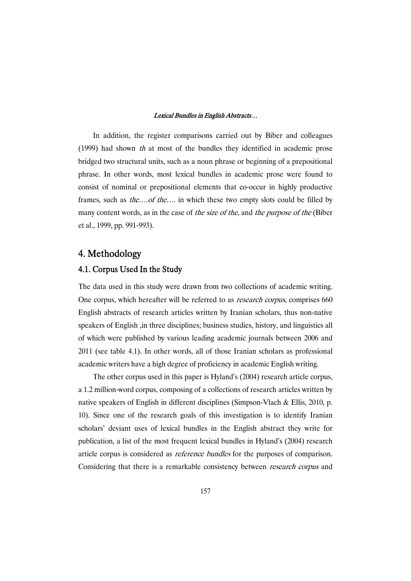In addition, the register comparisons carried out by Biber and colleagues (1999) had shown th at most of the bundles they identified in academic prose bridged two structural units, such as a noun phrase or beginning of a prepositional phrase. In other words, most lexical bundles in academic prose were found to consist of nominal or prepositional elements that co-occur in highly productive frames, such as *the....of the...*. in which these two empty slots could be filled by many content words, as in the case of the size of the, and the purpose of the (Biber etal.,1999,pp.991-993).

## 4.Methodology

## 4.1. Corpus Used In the Study

The data used in this study were drawn from two collections of academic writing. One corpus, which hereafter will be referred to as *research corpus*, comprises 660 English abstracts of research articles written by Iranian scholars, thus non-native speakers of English, in three disciplines; business studies, history, and linguistics all of which were published by various leading academic journals between 2006 and  $2011$  (see table 4.1). In other words, all of those Iranian scholars as professional academic writers have a high degree of proficiency in academic English writing.

The other corpus used in this paper is Hyland's (2004) research article corpus, a 1.2 million-word corpus, composing of a collections of research articles written by native speakers of English in different disciplines (Simpson-Vlach & Ellis, 2010, p. 10). Since one of the research goals of this investigation is to identify Iranian scholars' deviant uses of lexical bundles in the English abstract they write for publication, a list of the most frequent lexical bundles in Hyland's (2004) research article corpus is considered as *reference bundles* for the purposes of comparison. Considering that there is a remarkable consistency between *research corpus* and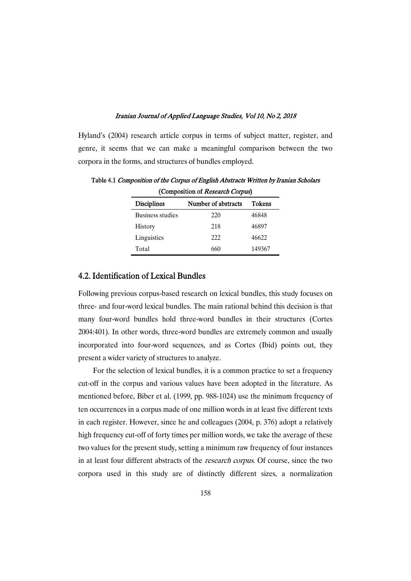Hyland's (2004) research article corpus in terms of subject matter, register, and genre, it seems that we can make a meaningful comparison between the two corpora in the forms, and structures of bundles employed.

| (Composition of <i>Research Corpus</i> ) |        |        |  |  |
|------------------------------------------|--------|--------|--|--|
| <b>Disciplines</b>                       | Tokens |        |  |  |
| Business studies                         | 220    | 46848  |  |  |
| History                                  | 218    | 46897  |  |  |
| Linguistics                              | 222    | 46622  |  |  |
| Total                                    | 660    | 149367 |  |  |

Table 4.1 Composition of the Corpus of English Abstracts Written by Iranian Scholars

## 4.2. Identification of Lexical Bundles

Following previous corpus-based research on lexical bundles, this study focuses on three- and four-word lexical bundles. The main rational behind this decision is that many four-word bundles hold three-word bundles in their structures (Cortes 2004:401). In other words, three-word bundles are extremely common and usually incorporated into four-word sequences, and as Cortes (Ibid) points out, they present a wider variety of structures to analyze.

For the selection of lexical bundles, it is a common practice to set a frequency cut-off in the corpus and various values have been adopted in the literature. As mentioned before, Biber et al. (1999, pp. 988-1024) use the minimum frequency of ten occurrences in a corpus made of one million words in at least five different texts in each register. However, since he and colleagues (2004, p. 376) adopt a relatively high frequency cut-off of forty times per million words, we take the average of these two values for the present study, setting a minimum raw frequency of four instances in at least four different abstracts of the *research corpus*. Of course, since the two corpora used in this study are of distinctly different sizes, a normalization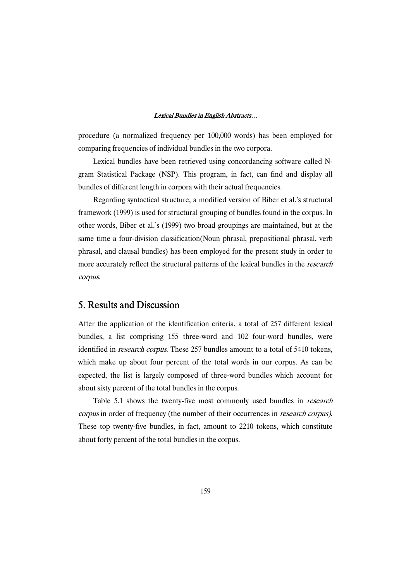procedure (a normalized frequency per 100,000 words) has been employed for comparing frequencies of individual bundles in the two corpora.

Lexical bundles have been retrieved using concordancing software called Ngram Statistical Package (NSP). This program, in fact, can find and display all bundles of different length in corpora with their actual frequencies.

Regarding syntactical structure, a modified version of Biber et al.'s structural framework (1999) is used for structural grouping of bundles found in the corpus. In other words, Biber et al.'s (1999) two broad groupings are maintained, but at the same time a four-division classification(Noun phrasal, prepositional phrasal, verb phrasal, and clausal bundles) has been employed for the present study in order to more accurately reflect the structural patterns of the lexical bundles in the *research* corpus.

## 5. Results and Discussion

After the application of the identification criteria, a total of 257 different lexical bundles, a list comprising 155 three-word and 102 four-word bundles, were identified in *research corpus*. These 257 bundles amount to a total of 5410 tokens, which make up about four percent of the total words in our corpus. As can be expected, the list is largely composed of three-word bundles which account for about sixty percent of the total bundles in the corpus.

Table 5.1 shows the twenty-five most commonly used bundles in *research* corpus in order of frequency (the number of their occurrences in *research corpus)*. These top twenty-five bundles, in fact, amount to 2210 tokens, which constitute about forty percent of the total bundles in the corpus.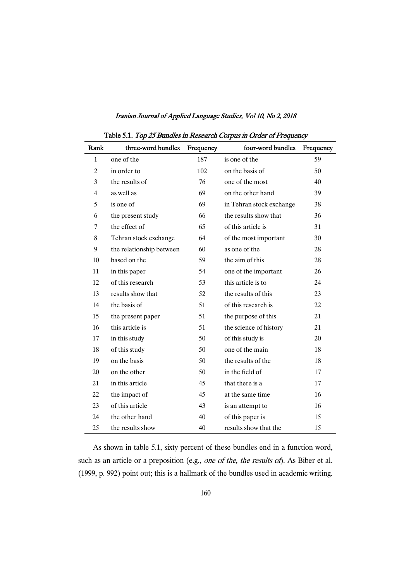| Rank           | three-word bundles       | Frequency | four-word bundles        | Frequency |
|----------------|--------------------------|-----------|--------------------------|-----------|
| $\mathbf{1}$   | one of the               | 187       | is one of the            | 59        |
| $\overline{c}$ | in order to              | 102       | on the basis of          | 50        |
| 3              | the results of           | 76        | one of the most          | 40        |
| 4              | as well as               | 69        | on the other hand        | 39        |
| 5              | is one of                | 69        | in Tehran stock exchange | 38        |
| 6              | the present study        | 66        | the results show that    | 36        |
| 7              | the effect of            | 65        | of this article is       | 31        |
| 8              | Tehran stock exchange    | 64        | of the most important    | 30        |
| 9              | the relationship between | 60        | as one of the            | 28        |
| 10             | based on the             | 59        | the aim of this          | 28        |
| 11             | in this paper            | 54        | one of the important     | 26        |
| 12             | of this research         | 53        | this article is to       | 24        |
| 13             | results show that        | 52        | the results of this      | 23        |
| 14             | the basis of             | 51        | of this research is      | 22        |
| 15             | the present paper        | 51        | the purpose of this      | 21        |
| 16             | this article is          | 51        | the science of history   | 21        |
| 17             | in this study            | 50        | of this study is         | 20        |
| 18             | of this study            | 50        | one of the main          | 18        |
| 19             | on the basis             | 50        | the results of the       | 18        |
| 20             | on the other             | 50        | in the field of          | 17        |
| 21             | in this article          | 45        | that there is a          | 17        |
| 22             | the impact of            | 45        | at the same time         | 16        |
| 23             | of this article          | 43        | is an attempt to         | 16        |
| 24             | the other hand           | 40        | of this paper is         | 15        |
| 25             | the results show         | 40        | results show that the    | 15        |

Table 5.1. Top 25 Bundles in Research Corpus in Order of Frequency

As shown in table 5.1, sixty percent of these bundles end in a function word, such as an article or a preposition (e.g., one of the, the results of). As Biber et al. (1999, p. 992) point out; this is a hallmark of the bundles used in academic writing.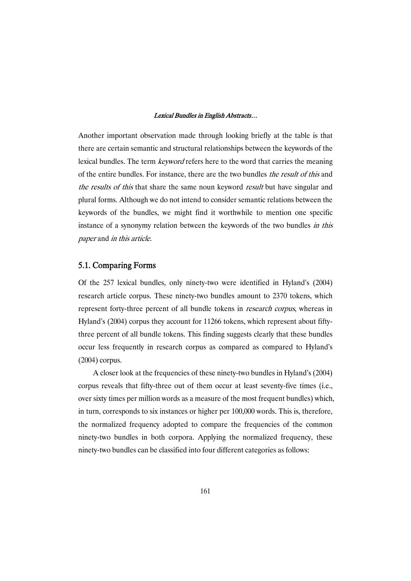Another important observation made through looking briefly at the table is that there are certain semantic and structural relationships between the keywords of the lexical bundles. The term keyword refers here to the word that carries the meaning of the entire bundles. For instance, there are the two bundles the result of this and the results of this that share the same noun keyword *result* but have singular and plural forms. Although we do not intend to consider semantic relations between the keywords of the bundles, we might find it worthwhile to mention one specific instance of a synonymy relation between the keywords of the two bundles in this paper and in this article.

### 5.1. Comparing Forms

Of the 257 lexical bundles, only ninety-two were identified in Hyland's (2004) research article corpus. These ninety-two bundles amount to 2370 tokens, which represent forty-three percent of all bundle tokens in *research corpus*, whereas in Hyland's (2004) corpus they account for 11266 tokens, which represent about fiftythree percent of all bundle tokens. This finding suggests clearly that these bundles occur less frequently in research corpus as compared as compared to Hyland's  $(2004)$  corpus.

A closer look at the frequencies of these ninety-two bundles in Hyland's (2004) corpus reveals that fifty-three out of them occur at least seventy-five times (i.e., over sixty times per million words as a measure of the most frequent bundles) which, in turn, corresponds to six instances or higher per 100,000 words. This is, therefore, the normalized frequency adopted to compare the frequencies of the common ninety-two bundles in both corpora. Applying the normalized frequency, these ninety-two bundles can be classified into four different categories as follows: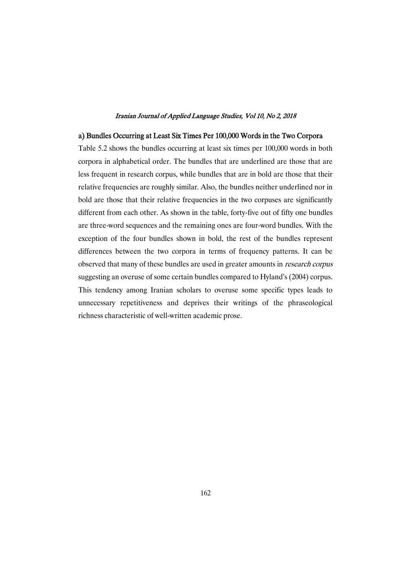### a) Bundles Occurring at Least Six Times Per 100,000 Words in the Two Corpora

Table 5.2 shows the bundles occurring at least six times per 100,000 words in both corpora in alphabetical order. The bundles that are underlined are those that are less frequent in research corpus, while bundles that are in bold are those that their relative frequencies are roughly similar. Also, the bundles neither underlined nor in bold are those that their relative frequencies in the two corpuses are significantly different from each other. As shown in the table, forty-five out of fifty one bundles are three-word sequences and the remaining ones are four-word bundles. With the exception of the four bundles shown in bold, the rest of the bundles represent differences between the two corpora in terms of frequency patterns. It can be observed that many of these bundles are used in greater amounts in *research corpus* suggesting an overuse of some certain bundles compared to Hyland's (2004) corpus. This tendency among Iranian scholars to overuse some specific types leads to unnecessary repetitiveness and deprives their writings of the phraseological richness characteristic of well-written academic prose.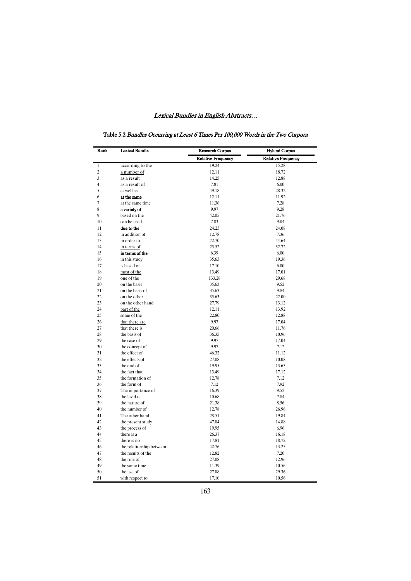| Rank           | <b>Lexical Bundle</b>           | <b>Research Corpus</b>    | <b>Hyland Corpus</b>      |
|----------------|---------------------------------|---------------------------|---------------------------|
|                |                                 | <b>Relative Frequency</b> | <b>Relative Frequency</b> |
| $\mathbf{1}$   | according to the                | 19.24                     | 15.28                     |
| $\overline{c}$ | a number of                     | 12.11                     | 18.72                     |
| 3              | as a result                     | 14.25                     | 12.88                     |
| $\overline{4}$ | as a result of                  | 7.81                      | 6.00                      |
| 5              | as well as                      | 49.18                     | 28.32                     |
| 6              | at the same                     | 12.11                     | 11.92                     |
| $\overline{7}$ | at the same time                | 11.36                     | 7.28                      |
| 8              | a variety of                    | 9.97                      | 9.28                      |
| 9              | based on the                    | 42.05                     | 21.76                     |
| 10             | can be used                     | 7.83                      | 9.04                      |
| 11             | due to the                      | 24.23                     | 24.08                     |
| 12             | in addition of                  | 12.78                     | 7.36                      |
| 13             | in order to                     | 72.70                     | 44.64                     |
| 14             | in terms of                     | 23.52                     | 32.72                     |
| 15             | in terms of the                 | 6.39                      | 6.00                      |
| 16             | in this study                   | 35.63                     | 19.36                     |
| 17             | is based on                     | 17.10                     | 6.00                      |
| 18             | most of the                     | 13.49                     | 17.01                     |
| 19             | one of the                      | 133.28                    | 29.68                     |
|                |                                 |                           |                           |
| 20             | on the basis<br>on the basis of | 35.63                     | 9.52                      |
| 21             |                                 | 35.63                     | 9.84                      |
| 22             | on the other                    | 35.63                     | 22.00                     |
| 23             | on the other hand               | 27.79                     | 13.12                     |
| 24             | part of the                     | 12.11                     | 13.92                     |
| 25             | some of the                     | 22.80                     | 12.88                     |
| 26             | that there are                  | 9.97                      | 17.04                     |
| 27             | that there is                   | 20.66                     | 11.76                     |
| 28             | the basis of                    | 36.35                     | 10.96                     |
| 29             | the case of                     | 9.97                      | 17.04                     |
| 30             | the concept of                  | 9.97                      | 7.12                      |
| 31             | the effect of                   | 46.32                     | 11.12                     |
| 32             | the effects of                  | 27.08                     | 10.08                     |
| 33             | the end of                      | 19.95                     | 13.65                     |
| 34             | the fact that                   | 13.49                     | 17.12                     |
| 35             | the formation of                | 12.78                     | 7.12                      |
| 36             | the form of                     | 7.12                      | 7.92                      |
| 37             | The importance of               | 16.39                     | 9.52                      |
| 38             | the level of                    | 10.68                     | 7.84                      |
| 39             | the nature of                   | 21.38                     | 8.56                      |
| 40             | the number of                   | 12.78                     | 26.96                     |
| 41             | The other hand                  | 28.51                     | 19.84                     |
| 42             | the present study               | 47.04                     | 14.88                     |
| 43             | the process of                  | 19.95                     | 6.96                      |
| 44             | there is a                      | 26.37                     | 16.18                     |
| 45             | there is no                     | 17.81                     | 18.72                     |
| 46             | the relationship between        | 42.76                     | 13.25                     |
| 47             | the results of the              | 12.82                     | 7.20                      |
| 48             | the role of                     | 27.08                     | 12.96                     |
| 49             | the same time                   | 11.39                     | 10.56                     |
| 50             | the use of                      | 27.08                     | 29.36                     |
|                | with respect to                 | 17.10                     | 10.56                     |

Table 5.2 Bundles Occurring at Least 6 Times Per 100,000 Words in the Two Corpora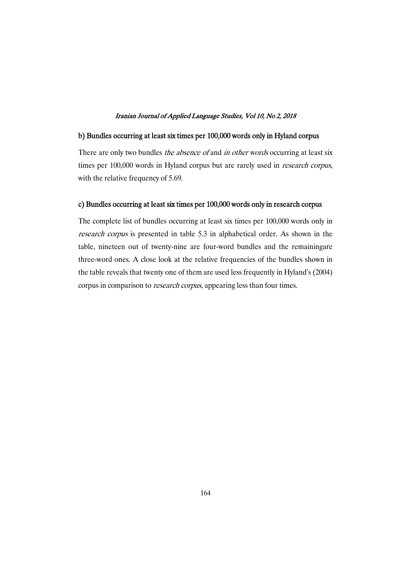### b) Bundles occurring at least six times per 100,000 words only in Hyland corpus

There are only two bundles the absence of and in other words occurring at least six times per 100,000 words in Hyland corpus but are rarely used in *research corpus*, with the relative frequency of 5.69.

### c) Bundles occurring at least six times per 100,000 words only in research corpus

The complete list of bundles occurring at least six times per 100,000 words only in research corpus is presented in table 5.3 in alphabetical order. As shown in the table, nineteen out of twenty-nine are four-word bundles and the remainingare three-word ones. A close look at the relative frequencies of the bundles shown in the table reveals that twenty one of them are used less frequently in Hyland's (2004) corpus in comparison to *research corpus*, appearing less than four times.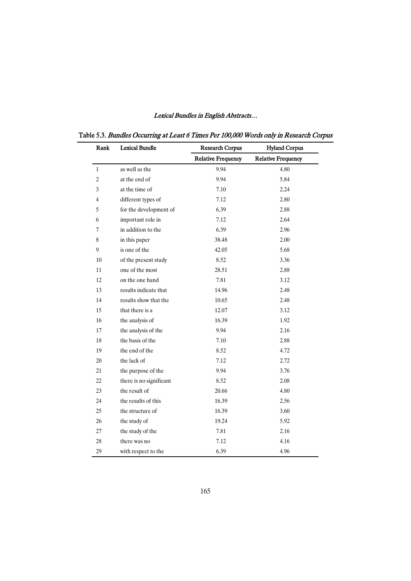Table 5.3. Bundles Occurring at Least 6 Times Per 100,000 Words only in Research Corpus

| Rank           | <b>Lexical Bundle</b>   | <b>Research Corpus</b>    | <b>Hyland Corpus</b>      |
|----------------|-------------------------|---------------------------|---------------------------|
|                |                         | <b>Relative Frequency</b> | <b>Relative Frequency</b> |
| 1              | as well as the          | 9.94                      | 4.80                      |
| $\overline{c}$ | at the end of           | 9.94                      | 5.84                      |
| 3              | at the time of          | 7.10                      | 2.24                      |
| 4              | different types of      | 7.12                      | 2.80                      |
| 5              | for the development of  | 6.39                      | 2.88                      |
| 6              | important role in       | 7.12                      | 2.64                      |
| 7              | in addition to the      | 6.39                      | 2.96                      |
| 8              | in this paper           | 38.48                     | 2.00                      |
| 9              | is one of the           | 42.05                     | 5.68                      |
| 10             | of the present study    | 8.52                      | 3.36                      |
| 11             | one of the most         | 28.51                     | 2.88                      |
| 12             | on the one hand         | 7.81                      | 3.12                      |
| 13             | results indicate that   | 14.96                     | 2.48                      |
| 14             | results show that the   | 10.65                     | 2.48                      |
| 15             | that there is a         | 12.07                     | 3.12                      |
| 16             | the analysis of         | 16.39                     | 1.92                      |
| 17             | the analysis of the     | 9.94                      | 2.16                      |
| 18             | the basis of the        | 7.10                      | 2.88                      |
| 19             | the end of the          | 8.52                      | 4.72                      |
| 20             | the lack of             | 7.12                      | 2.72                      |
| 21             | the purpose of the      | 9.94                      | 3.76                      |
| 22             | there is no significant | 8.52                      | 2.08                      |
| 23             | the result of           | 20.66                     | 4.80                      |
| 24             | the results of this     | 16.39                     | 2.56                      |
| 25             | the structure of        | 16.39                     | 3.60                      |
| 26             | the study of            | 19.24                     | 5.92                      |
| 27             | the study of the        | 7.81                      | 2.16                      |
| 28             | there was no            | 7.12                      | 4.16                      |
| 29             | with respect to the     | 6.39                      | 4.96                      |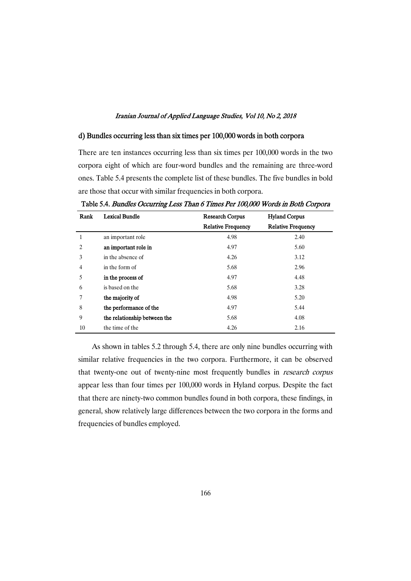### d) Bundles occurring less than six times per 100,000 words in both corpora

There are ten instances occurring less than six times per 100,000 words in the two corpora eight of which are four-word bundles and the remaining are three-word ones. Table 5.4 presents the complete list of these bundles. The five bundles in bold are those that occur with similar frequencies in both corpora.

| Rank           | <b>Lexical Bundle</b>        | <b>Research Corpus</b>    | <b>Hyland Corpus</b>      |
|----------------|------------------------------|---------------------------|---------------------------|
|                |                              | <b>Relative Frequency</b> | <b>Relative Frequency</b> |
|                | an important role            | 4.98                      | 2.40                      |
| 2              | an important role in         | 4.97                      | 5.60                      |
| 3              | in the absence of            | 4.26                      | 3.12                      |
| $\overline{4}$ | in the form of               | 5.68                      | 2.96                      |
| 5              | in the process of            | 4.97                      | 4.48                      |
| 6              | is based on the              | 5.68                      | 3.28                      |
| 7              | the majority of              | 4.98                      | 5.20                      |
| 8              | the performance of the       | 4.97                      | 5.44                      |
| 9              | the relationship between the | 5.68                      | 4.08                      |
| 10             | the time of the              | 4.26                      | 2.16                      |

Table 5.4. Bundles Occurring Less Than 6 Times Per 100,000 Words in Both Corpora

As shown in tables 5.2 through 5.4, there are only nine bundles occurring with similar relative frequencies in the two corpora. Furthermore, it can be observed that twenty-one out of twenty-nine most frequently bundles in *research corpus* appear less than four times per 100,000 words in Hyland corpus. Despite the fact that there are ninety-two common bundles found in both corpora, these findings, in general, show relatively large differences between the two corpora in the forms and frequencies of bundles employed.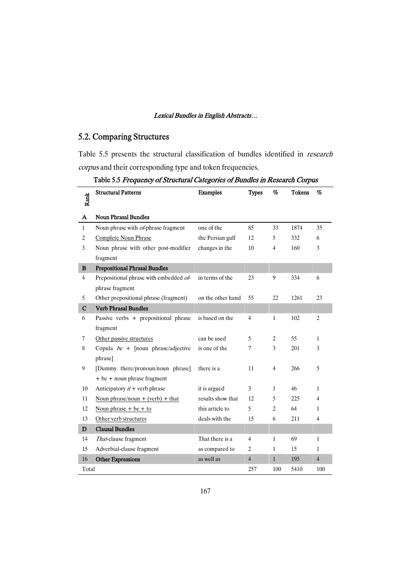## 5.2. Comparing Structures

Table 5.5 presents the structural classification of bundles identified in research corpus and their corresponding type and token frequencies.

| Rank         | <b>Structural Patterns</b>             | <b>Examples</b>   | <b>Types</b>   | %              | <b>Tokens</b> | %              |
|--------------|----------------------------------------|-------------------|----------------|----------------|---------------|----------------|
| A            | <b>Noun Phrasal Bundles</b>            |                   |                |                |               |                |
| $\mathbf{1}$ | Noun phrase with of-phrase fragment    | one of the        | 85             | 33             | 1874          | 35             |
| 2            | Complete Noun Phrase                   | the Persian gulf  | 12             | 5              | 332           | 6              |
| 3            | Noun phrase with other post-modifier   | changes in the    | 10             | 4              | 160           | 3              |
|              | fragment                               |                   |                |                |               |                |
| B            | <b>Prepositional Phrasal Bundles</b>   |                   |                |                |               |                |
| 4            | Prepositional phrase with embedded of- | in terms of the   | 23             | 9              | 334           | 6              |
|              | phrase fragment                        |                   |                |                |               |                |
| 5            | Other prepositional phrase (fragment)  | on the other hand | 55             | 22             | 1261          | 23             |
| $\mathbf C$  | <b>Verb Phrasal Bundles</b>            |                   |                |                |               |                |
| 6            | Passive verbs + prepositional phrase   | is based on the   | 4              | $\mathbf{1}$   | 102           | 2              |
|              | fragment                               |                   |                |                |               |                |
| 7            | Other passive structures               | can be used       | 5              | 2              | 55            | 1              |
| 8            | Copula $be +$ [noun phrase/adjective   | is one of the     | 7              | 3              | 201           | 3              |
|              | phrase]                                |                   |                |                |               |                |
| 9            | [Dummy there/pronoun/noun phrase]      | there is a        | 11             | 4              | 266           | 5              |
|              | + be + noun phrase fragment            |                   |                |                |               |                |
| 10           | Anticipatory $it +$ verb phrase        | it is argued      | 3              | 1              | 46            | 1              |
| 11           | Noun phrase/noun + (verb) + that       | results show that | 12             | 5              | 225           | 4              |
| 12           | Noun phrase $+$ be $+$ to              | this article to   | 5              | $\overline{c}$ | 64            | 1              |
| 13           | Other verb structures                  | deals with the    | 15             | 6              | 211           | 4              |
| D            | <b>Clausal Bundles</b>                 |                   |                |                |               |                |
| 14           | That-clause fragment                   | That there is a   | 4              | $\mathbf{1}$   | 69            | 1              |
| 15           | Adverbial-clause fragment              | as compared to    | 2              | $\mathbf{1}$   | 15            | 1              |
| 16           | <b>Other Expressions</b>               | as well as        | $\overline{4}$ | $\mathbf{1}$   | 195           | $\overline{4}$ |
| Total        |                                        |                   | 257            | 100            | 5410          | 100            |

Table 5.5 Frequency of Structural Categories of Bundles in Research Corpus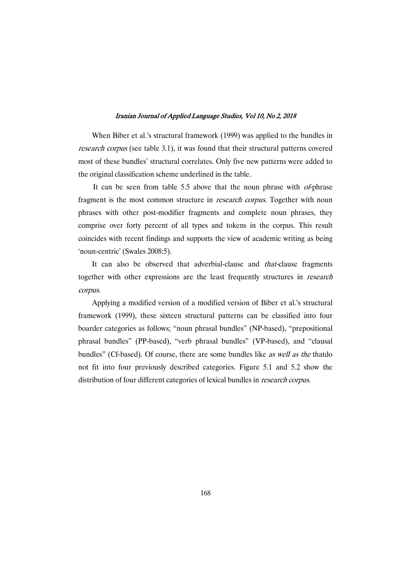When Biber et al.'s structural framework (1999) was applied to the bundles in research corpus (see table 3.1), it was found that their structural patterns covered most of these bundles' structural correlates. Only five new patterns were added to the original classification scheme underlined in the table.

It can be seen from table 5.5 above that the noun phrase with of-phrase fragment is the most common structure in *research corpus*. Together with noun phrases with other post-modifier fragments and complete noun phrases, they comprise over forty percent of all types and tokens in the corpus. This result coincides with recent findings and supports the view of academic writing as being 'noun-centric' (Swales 2008:5).

It can also be observed that adverbial-clause and that-clause fragments together with other expressions are the least frequently structures in research corpus.

Applying a modified version of a modified version of Biber et al.'s structural framework (1999), these sixteen structural patterns can be classified into four boarder categories as follows; "noun phrasal bundles" (NP-based), "prepositional phrasal bundles" (PP-based), "verb phrasal bundles" (VP-based), and "clausal bundles" (Cf-based). Of course, there are some bundles like as well as the thatdo not fit into four previously described categories. Figure 5.1 and 5.2 show the distribution of four different categories of lexical bundles in research corpus.

168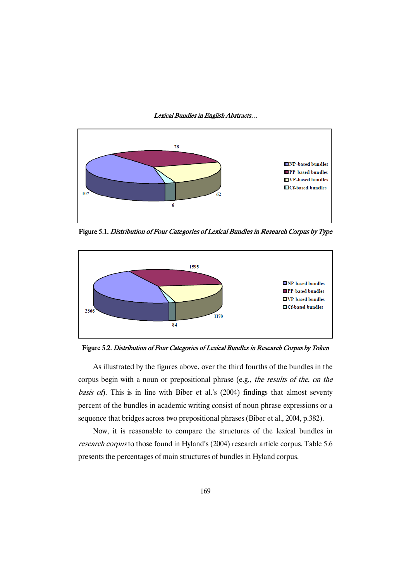Lexical Bundles in English Abstracts...



Figure 5.1. Distribution of Four Categories of Lexical Bundles in Research Corpus by Type



Figure 5.2. Distribution of Four Categories of Lexical Bundles in Research Corpus by Token

As illustrated by the figures above, over the third fourths of the bundles in the corpus begin with a noun or prepositional phrase (e.g., the results of the, on the basis of). This is in line with Biber et al.'s (2004) findings that almost seventy percent of the bundles in academic writing consist of noun phrase expressions or a sequence that bridges across two prepositional phrases (Biber et al., 2004, p.382).

Now, it is reasonable to compare the structures of the lexical bundles in research corpus to those found in Hyland's (2004) research article corpus. Table 5.6 presents the percentages of main structures of bundles in Hyland corpus.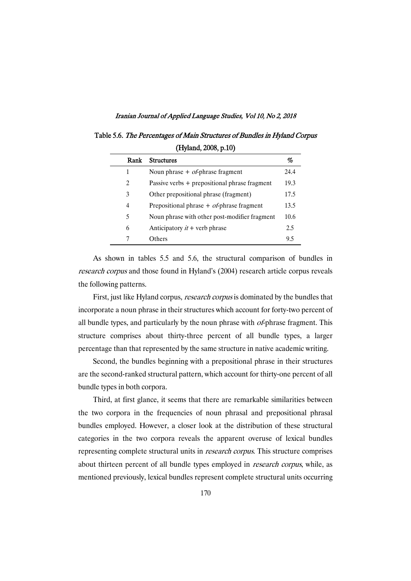| Rank | <b>Structures</b>                             | %    |
|------|-----------------------------------------------|------|
| 1    | Noun phrase $+$ <i>of</i> -phrase fragment    | 24.4 |
| 2    | Passive verbs + prepositional phrase fragment | 19.3 |
| 3    | Other prepositional phrase (fragment)         | 17.5 |
| 4    | Prepositional phrase $+$ of phrase fragment   | 13.5 |
| 5    | Noun phrase with other post-modifier fragment | 10.6 |
| 6    | Anticipatory $it +$ verb phrase               | 2.5  |
| 7    | Others                                        | 9.5  |

Table 5.6. The Percentages of Main Structures of Bundles in Hyland Corpus (Hyland, 2008, p.10)

As shown in tables 5.5 and 5.6, the structural comparison of bundles in research corpus and those found in Hyland's (2004) research article corpus reveals the following patterns.

First, just like Hyland corpus, research corpus is dominated by the bundles that incorporate a noun phrase in their structures which account for forty-two percent of all bundle types, and particularly by the noun phrase with  $of$ -phrase fragment. This structure comprises about thirty-three percent of all bundle types, a larger percentage than that represented by the same structure in native academic writing.

Second, the bundles beginning with a prepositional phrase in their structures are the second-ranked structural pattern, which account for thirty-one percent of all bundle types in both corpora.

Third, at first glance, it seems that there are remarkable similarities between the two corpora in the frequencies of noun phrasal and prepositional phrasal bundles employed. However, a closer look at the distribution of these structural categories in the two corpora reveals the apparent overuse of lexical bundles representing complete structural units in *research corpus*. This structure comprises about thirteen percent of all bundle types employed in *research corpus*, while, as mentioned previously, lexical bundles represent complete structural units occurring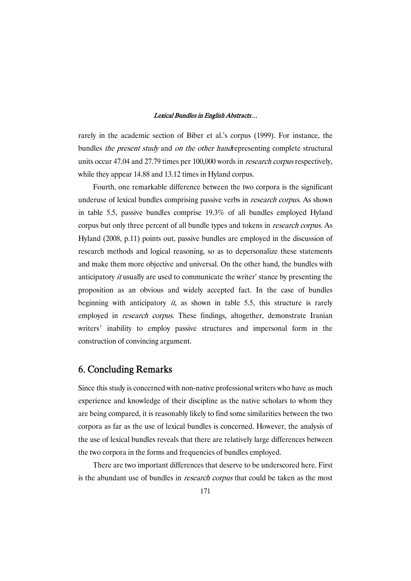rarely in the academic section of Biber et al.'s corpus (1999). For instance, the bundles the present study and on the other handrepresenting complete structural units occur 47.04 and 27.79 times per 100,000 words in *research corpus* respectively, while they appear 14.88 and 13.12 times in Hyland corpus.

Fourth, one remarkable difference between the two corpora is the significant underuse of lexical bundles comprising passive verbs in *research corpus*. As shown in table 5.5, passive bundles comprise 19.3% of all bundles employed Hyland corpus but only three percent of all bundle types and tokens in *research corpus*. As Hyland  $(2008, p.11)$  points out, passive bundles are employed in the discussion of research methods and logical reasoning, so as to depersonalize these statements and make them more objective and universal. On the other hand, the bundles with anticipatory  $it$  usually are used to communicate the writer' stance by presenting the proposition as an obvious and widely accepted fact. In the case of bundles beginning with anticipatory  $it$ , as shown in table 5.5, this structure is rarely employed in *research corpus*. These findings, altogether, demonstrate Iranian writers' inability to employ passive structures and impersonal form in the construction of convincing argument.

## 6. Concluding Remarks

Since this study is concerned with non-native professional writers who have as much experience and knowledge of their discipline as the native scholars to whom they are being compared, it is reasonably likely to find some similarities between the two corpora as far as the use of lexical bundles is concerned. However, the analysis of the use of lexical bundles reveals that there are relatively large differences between the two corpora in the forms and frequencies of bundles employed.

There are two important differences that deserve to be underscored here. First is the abundant use of bundles in *research corpus* that could be taken as the most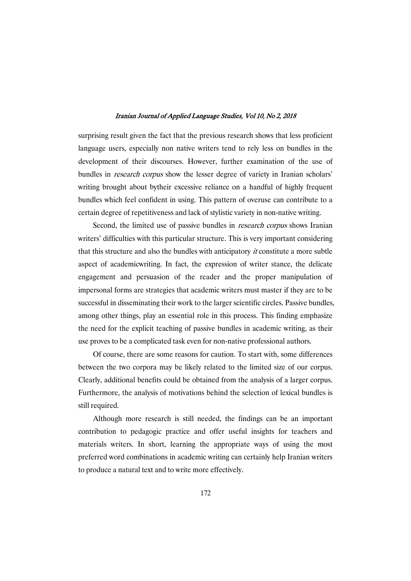surprising result given the fact that the previous research shows that less proficient language users, especially non native writers tend to rely less on bundles in the development of their discourses. However, further examination of the use of bundles in *research corpus* show the lesser degree of variety in Iranian scholars' writing brought about bytheir excessive reliance on a handful of highly frequent bundles which feel confident in using. This pattern of overuse can contribute to a certain degree of repetitiveness and lack of stylistic variety in non-native writing.

Second, the limited use of passive bundles in *research corpus* shows Iranian writers' difficulties with this particular structure. This is very important considering that this structure and also the bundles with anticipatory *it* constitute a more subtle aspect of academicwriting. In fact, the expression of writer stance, the delicate engagement and persuasion of the reader and the proper manipulation of impersonal forms are strategies that academic writers must master if they are to be successful in disseminating their work to the larger scientific circles. Passive bundles, among other things, play an essential role in this process. This finding emphasize the need for the explicit teaching of passive bundles in academic writing, as their use proves to be a complicated task even for non-native professional authors.

Of course, there are some reasons for caution. To start with, some differences between the two corpora may be likely related to the limited size of our corpus. Clearly, additional benefits could be obtained from the analysis of a larger corpus. Furthermore, the analysis of motivations behind the selection of lexical bundles is still required.

Although more research is still needed, the findings can be an important contribution to pedagogic practice and offer useful insights for teachers and materials writers. In short, learning the appropriate ways of using the most preferredwordcombinationsinacademicwritingcancertainlyhelpIranianwriters to produce a natural text and to write more effectively.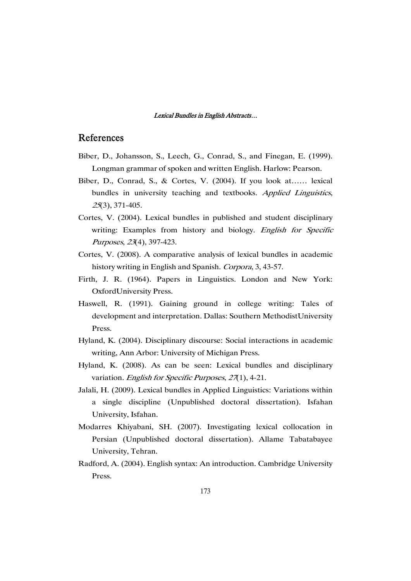## References

- Biber, D., Johansson, S., Leech, G., Conrad, S., and Finegan, E. (1999). Longman grammar of spoken and written English. Harlow: Pearson.
- Biber, D., Conrad, S., & Cortes, V. (2004). If you look at…… lexical bundles in university teaching and textbooks. Applied Linguistics, <sup>25</sup>(3),371-405.
- Cortes, V. (2004). Lexical bundles in published and student disciplinary writing: Examples from history and biology. English for Specific Purposes, 23(4), 397-423.
- Cortes, V. (2008). A comparative analysis of lexical bundles in academic history writing in English and Spanish. Corpora, 3, 43-57.
- Firth, J. R. (1964). Papers in Linguistics. London and New York: OxfordUniversity Press.
- Haswell, R. (1991). Gaining ground in college writing: Tales of development and interpretation. Dallas: Southern MethodistUniversity Press.
- Hyland, K. (2004). Disciplinary discourse: Social interactions in academic writing, Ann Arbor: University of Michigan Press.
- Hyland, K. (2008). As can be seen: Lexical bundles and disciplinary variation. English for Specific Purposes,  $27(1)$ , 4-21.
- Jalali, H. (2009). Lexical bundles in Applied Linguistics: Variations within a single discipline (Unpublished doctoral dissertation). Isfahan University, Isfahan.
- Modarres Khiyabani, SH. (2007). Investigating lexical collocation in Persian (Unpublished doctoral dissertation). Allame Tabatabayee University, Tehran.
- Radford, A. (2004). English syntax: An introduction. Cambridge University Press.